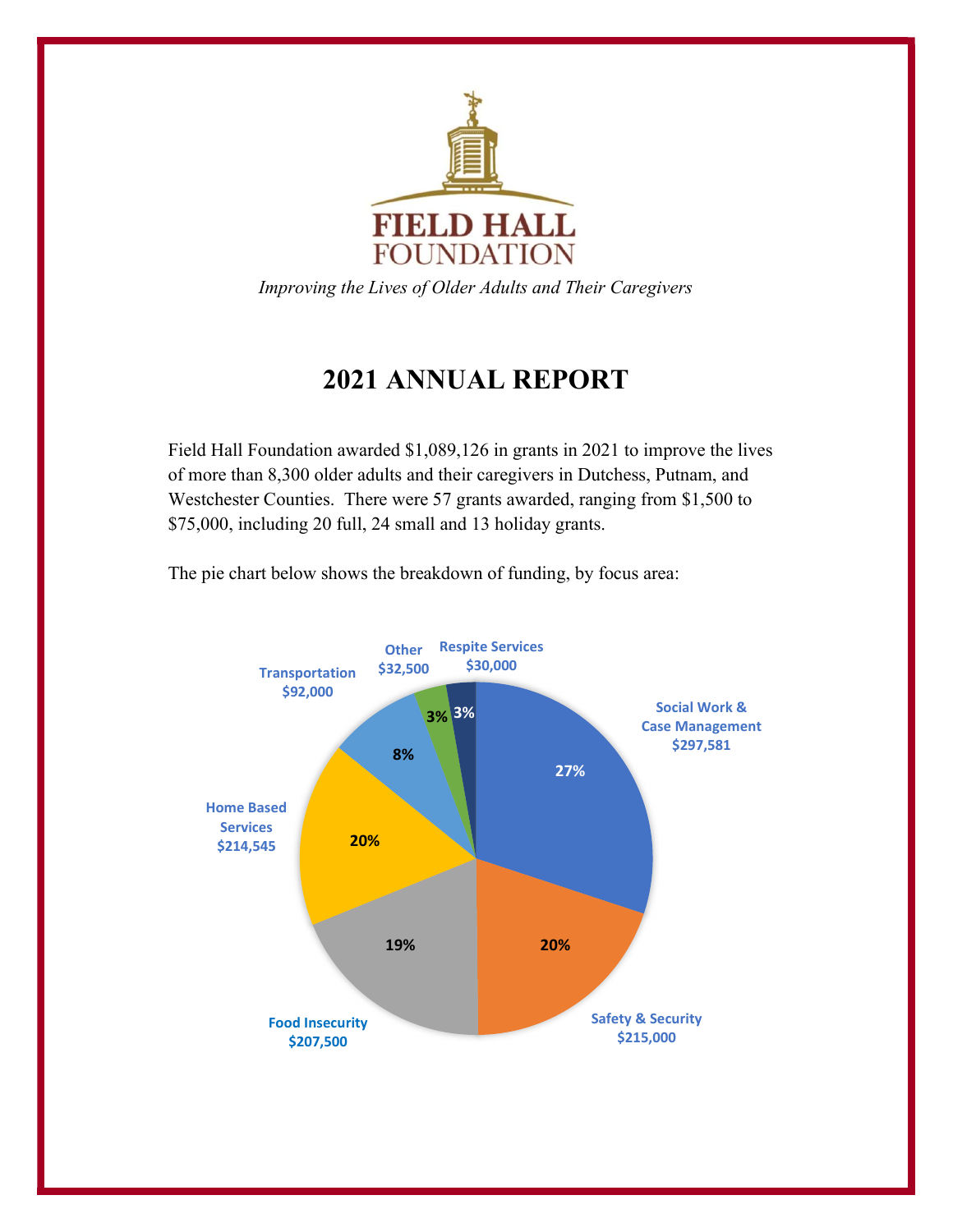

Improving the Lives of Older Adults and Their Caregivers

## 2021 ANNUAL REPORT

Field Hall Foundation awarded \$1,089,126 in grants in 2021 to improve the lives of more than 8,300 older adults and their caregivers in Dutchess, Putnam, and Westchester Counties. There were 57 grants awarded, ranging from \$1,500 to \$75,000, including 20 full, 24 small and 13 holiday grants.

The pie chart below shows the breakdown of funding, by focus area:

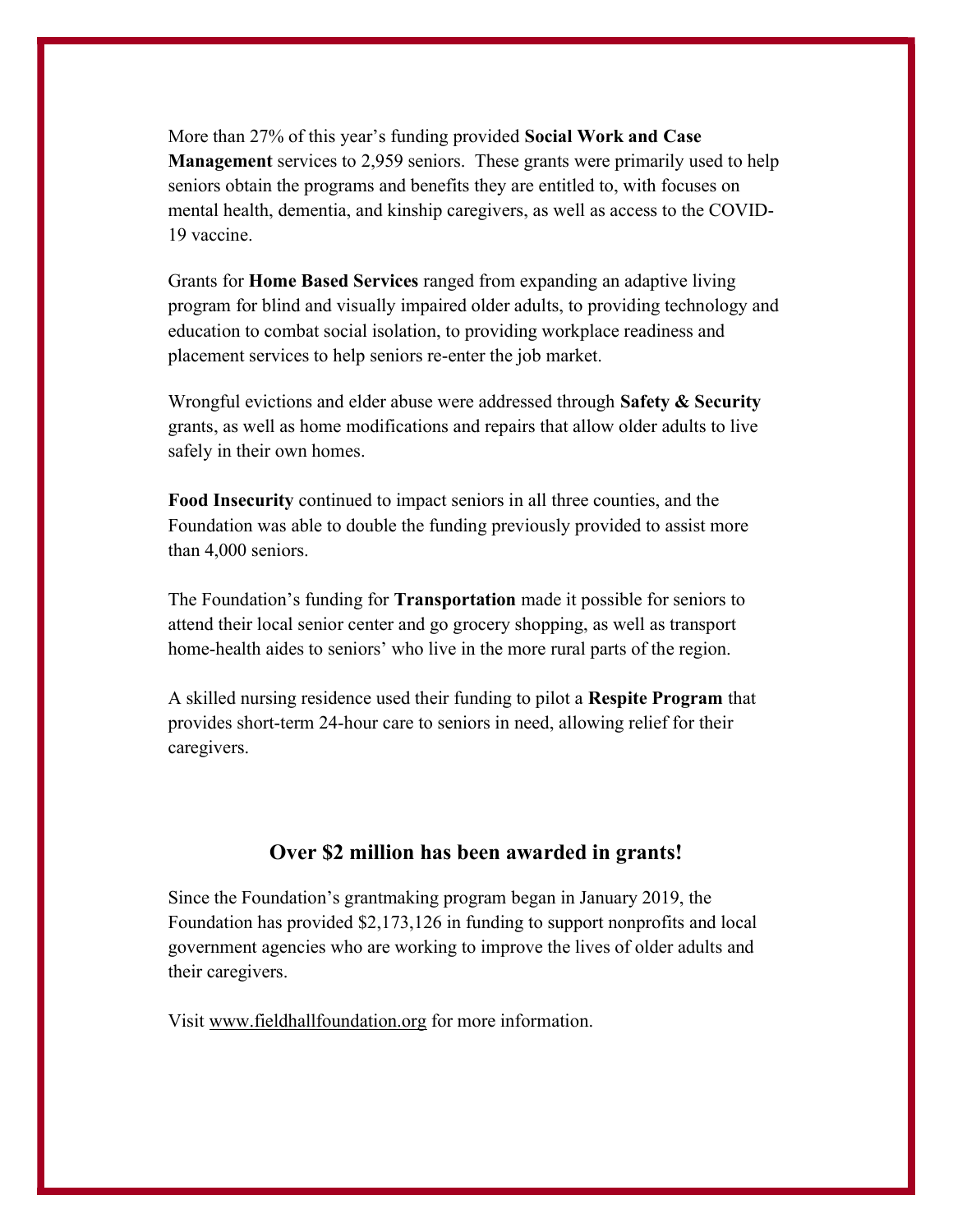More than 27% of this year's funding provided Social Work and Case Management services to 2,959 seniors. These grants were primarily used to help seniors obtain the programs and benefits they are entitled to, with focuses on mental health, dementia, and kinship caregivers, as well as access to the COVID-19 vaccine.

Grants for Home Based Services ranged from expanding an adaptive living program for blind and visually impaired older adults, to providing technology and education to combat social isolation, to providing workplace readiness and placement services to help seniors re-enter the job market.

Wrongful evictions and elder abuse were addressed through Safety  $\&$  Security grants, as well as home modifications and repairs that allow older adults to live safely in their own homes.

Food Insecurity continued to impact seniors in all three counties, and the Foundation was able to double the funding previously provided to assist more than 4,000 seniors.

The Foundation's funding for **Transportation** made it possible for seniors to attend their local senior center and go grocery shopping, as well as transport home-health aides to seniors' who live in the more rural parts of the region.

A skilled nursing residence used their funding to pilot a Respite Program that provides short-term 24-hour care to seniors in need, allowing relief for their caregivers.

## Over \$2 million has been awarded in grants!

Since the Foundation's grantmaking program began in January 2019, the Foundation has provided \$2,173,126 in funding to support nonprofits and local government agencies who are working to improve the lives of older adults and their caregivers.

Visit www.fieldhallfoundation.org for more information.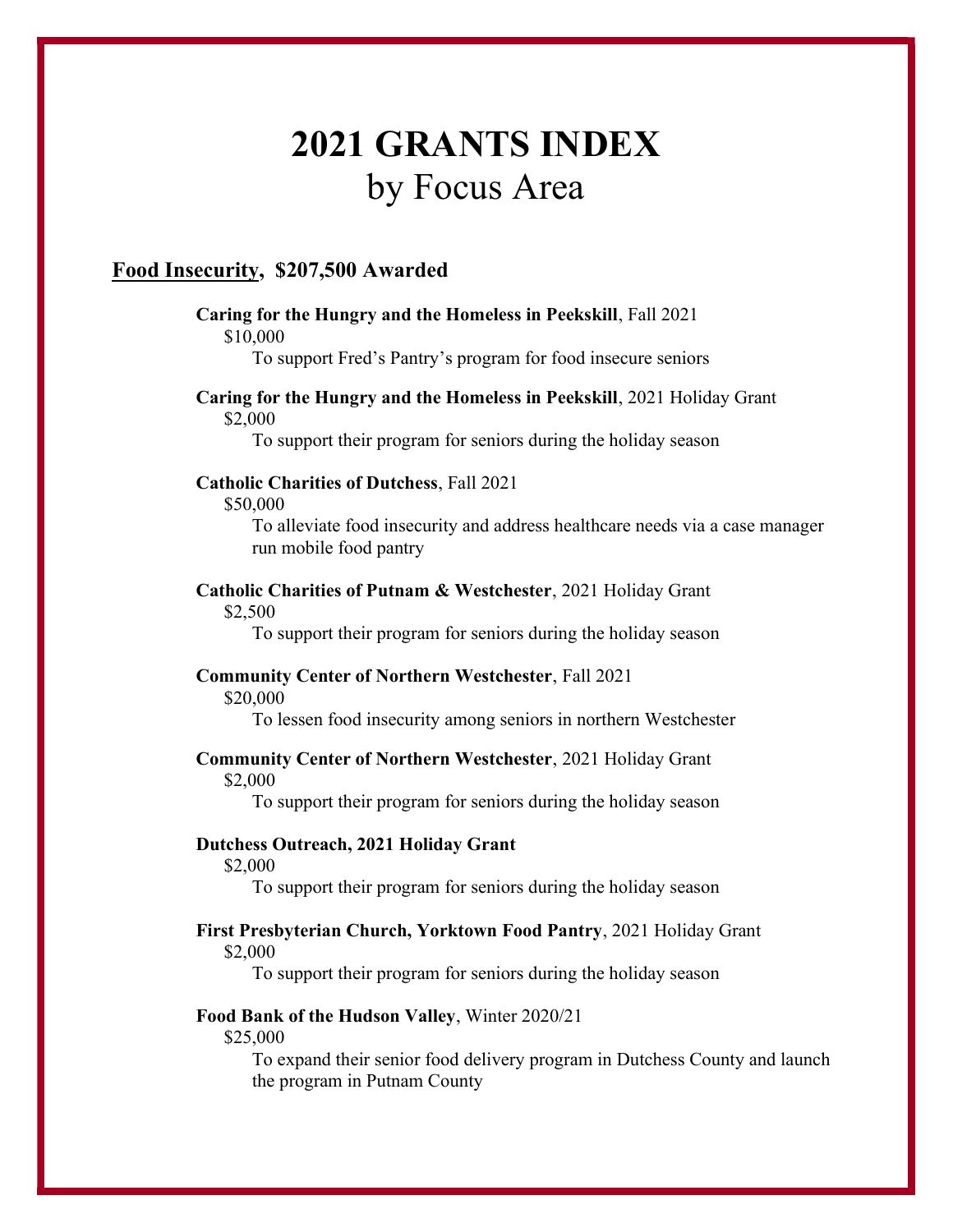# 2021 GRANTS INDEX by Focus Area

## Food Insecurity, \$207,500 Awarded

## Caring for the Hungry and the Homeless in Peekskill, Fall 2021 \$10,000

To support Fred's Pantry's program for food insecure seniors

## Caring for the Hungry and the Homeless in Peekskill, 2021 Holiday Grant \$2,000

To support their program for seniors during the holiday season

## Catholic Charities of Dutchess, Fall 2021

\$50,000

To alleviate food insecurity and address healthcare needs via a case manager run mobile food pantry

## Catholic Charities of Putnam & Westchester, 2021 Holiday Grant

\$2,500

To support their program for seniors during the holiday season

## Community Center of Northern Westchester, Fall 2021

\$20,000

To lessen food insecurity among seniors in northern Westchester

## Community Center of Northern Westchester, 2021 Holiday Grant

\$2,000

To support their program for seniors during the holiday season

## Dutchess Outreach, 2021 Holiday Grant

\$2,000

To support their program for seniors during the holiday season

## First Presbyterian Church, Yorktown Food Pantry, 2021 Holiday Grant \$2,000

To support their program for seniors during the holiday season

## Food Bank of the Hudson Valley, Winter 2020/21

\$25,000

To expand their senior food delivery program in Dutchess County and launch the program in Putnam County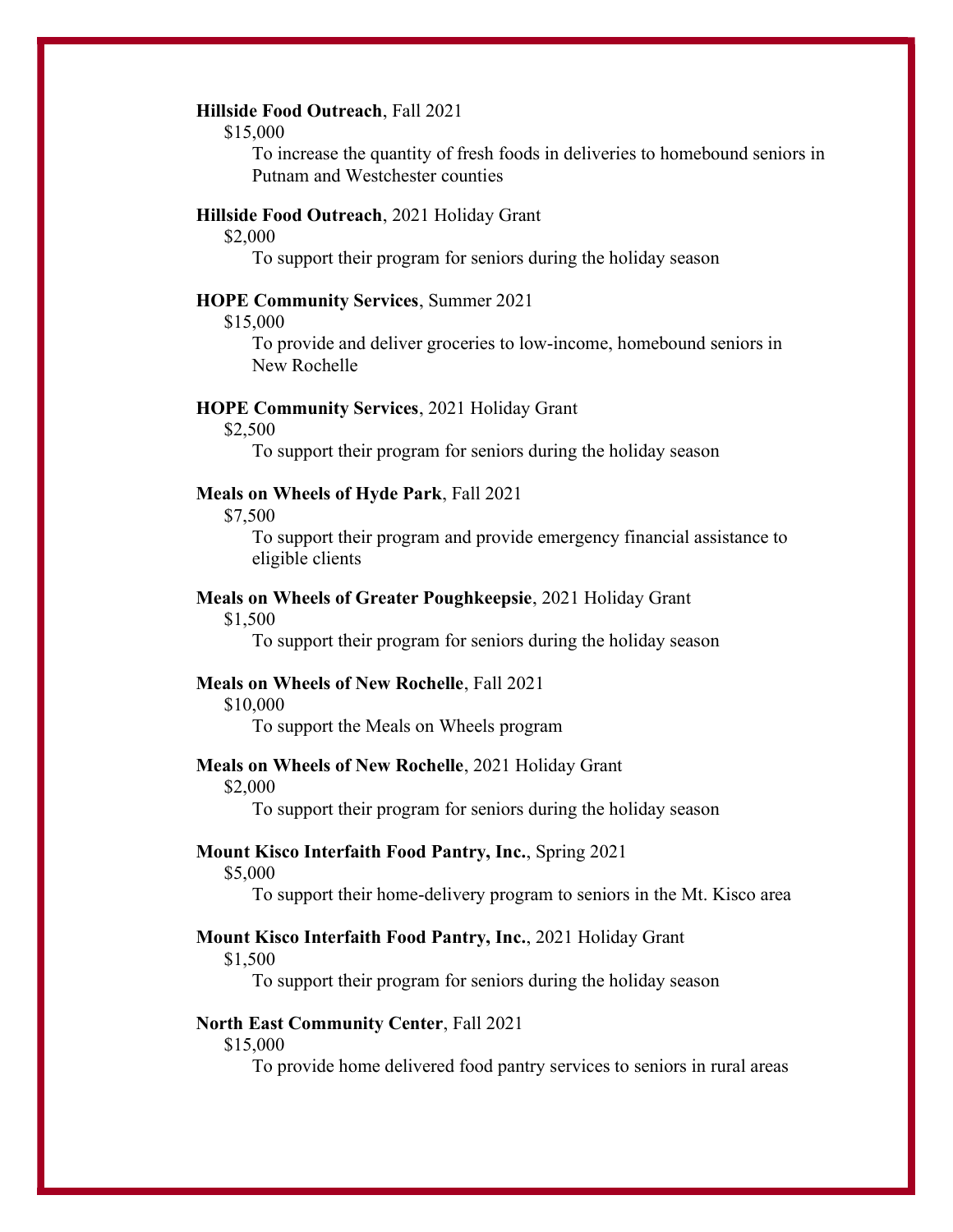## Hillside Food Outreach, Fall 2021

\$15,000

To increase the quantity of fresh foods in deliveries to homebound seniors in Putnam and Westchester counties

## Hillside Food Outreach, 2021 Holiday Grant

\$2,000

To support their program for seniors during the holiday season

### HOPE Community Services, Summer 2021

\$15,000

To provide and deliver groceries to low-income, homebound seniors in New Rochelle

#### HOPE Community Services, 2021 Holiday Grant

\$2,500

To support their program for seniors during the holiday season

## Meals on Wheels of Hyde Park, Fall 2021

\$7,500

To support their program and provide emergency financial assistance to eligible clients

## Meals on Wheels of Greater Poughkeepsie, 2021 Holiday Grant

\$1,500

To support their program for seniors during the holiday season

## Meals on Wheels of New Rochelle, Fall 2021

\$10,000

To support the Meals on Wheels program

#### Meals on Wheels of New Rochelle, 2021 Holiday Grant

\$2,000

To support their program for seniors during the holiday season

## Mount Kisco Interfaith Food Pantry, Inc., Spring 2021

\$5,000

To support their home-delivery program to seniors in the Mt. Kisco area

## Mount Kisco Interfaith Food Pantry, Inc., 2021 Holiday Grant

\$1,500

To support their program for seniors during the holiday season

#### North East Community Center, Fall 2021

\$15,000

To provide home delivered food pantry services to seniors in rural areas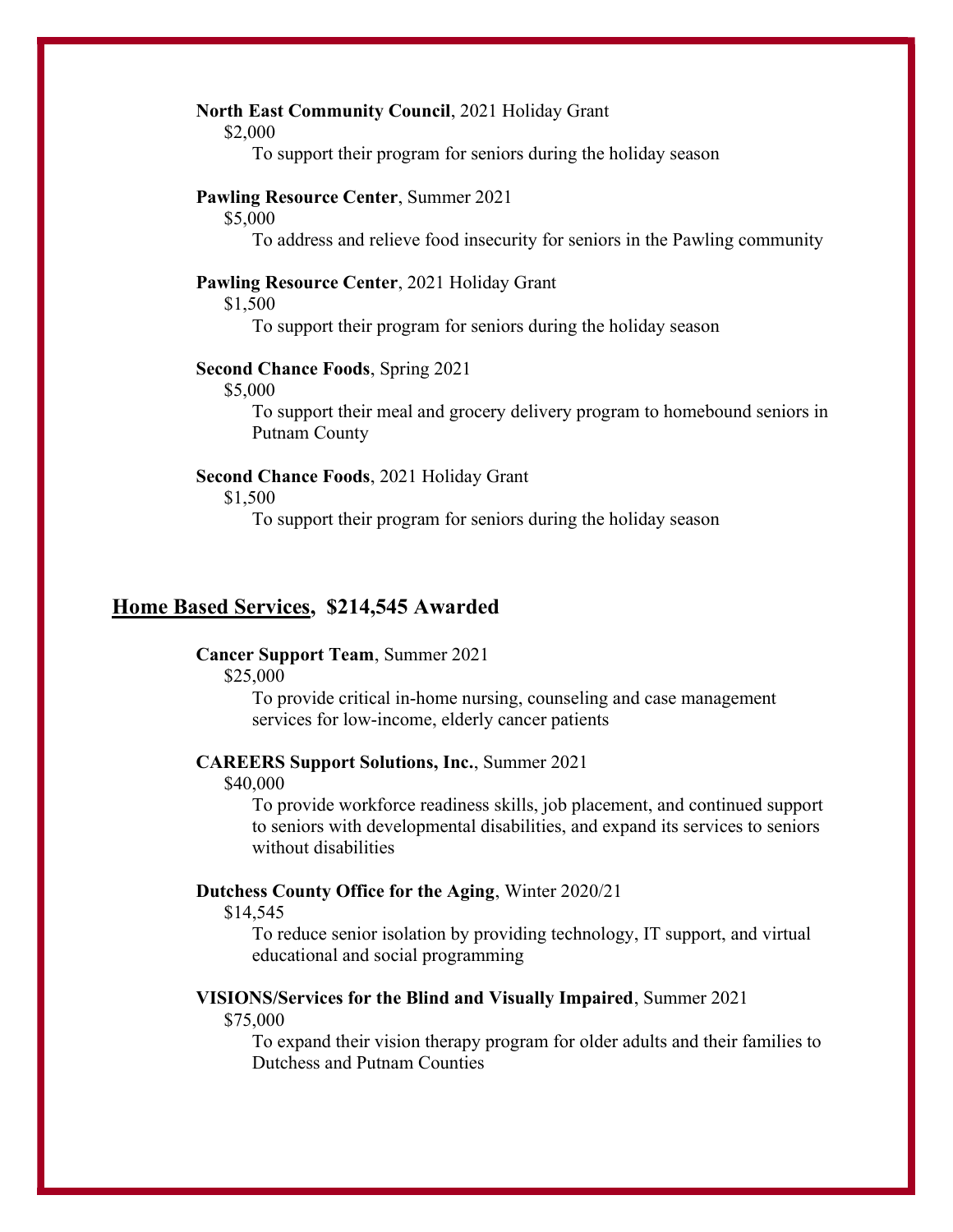## North East Community Council, 2021 Holiday Grant

\$2,000

To support their program for seniors during the holiday season

## Pawling Resource Center, Summer 2021

\$5,000

To address and relieve food insecurity for seniors in the Pawling community

## Pawling Resource Center, 2021 Holiday Grant

\$1,500

To support their program for seniors during the holiday season

## Second Chance Foods, Spring 2021

\$5,000

To support their meal and grocery delivery program to homebound seniors in Putnam County

### Second Chance Foods, 2021 Holiday Grant

\$1,500

To support their program for seniors during the holiday season

## Home Based Services, \$214,545 Awarded

## Cancer Support Team, Summer 2021

\$25,000

To provide critical in-home nursing, counseling and case management services for low-income, elderly cancer patients

## CAREERS Support Solutions, Inc., Summer 2021

\$40,000

To provide workforce readiness skills, job placement, and continued support to seniors with developmental disabilities, and expand its services to seniors without disabilities

## Dutchess County Office for the Aging, Winter 2020/21

\$14,545

To reduce senior isolation by providing technology, IT support, and virtual educational and social programming

#### VISIONS/Services for the Blind and Visually Impaired, Summer 2021

\$75,000

To expand their vision therapy program for older adults and their families to Dutchess and Putnam Counties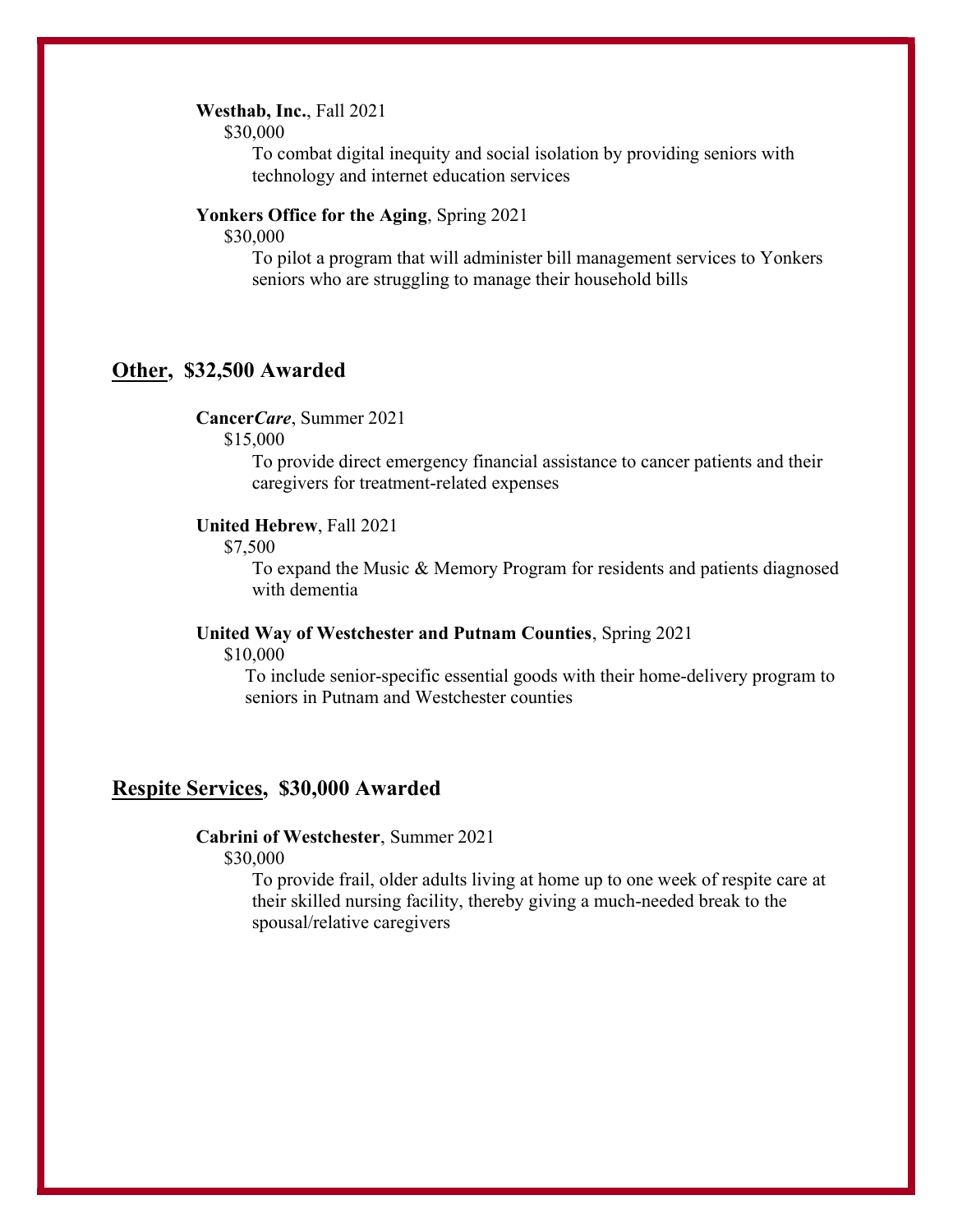## Westhab, Inc., Fall 2021

\$30,000

To combat digital inequity and social isolation by providing seniors with technology and internet education services

## Yonkers Office for the Aging, Spring 2021

\$30,000

To pilot a program that will administer bill management services to Yonkers seniors who are struggling to manage their household bills

## Other, \$32,500 Awarded

CancerCare, Summer 2021

\$15,000

To provide direct emergency financial assistance to cancer patients and their caregivers for treatment-related expenses

## United Hebrew, Fall 2021

\$7,500

To expand the Music & Memory Program for residents and patients diagnosed with dementia

## United Way of Westchester and Putnam Counties, Spring 2021

\$10,000

To include senior-specific essential goods with their home-delivery program to seniors in Putnam and Westchester counties

## Respite Services, \$30,000 Awarded

## Cabrini of Westchester, Summer 2021

\$30,000

To provide frail, older adults living at home up to one week of respite care at their skilled nursing facility, thereby giving a much-needed break to the spousal/relative caregivers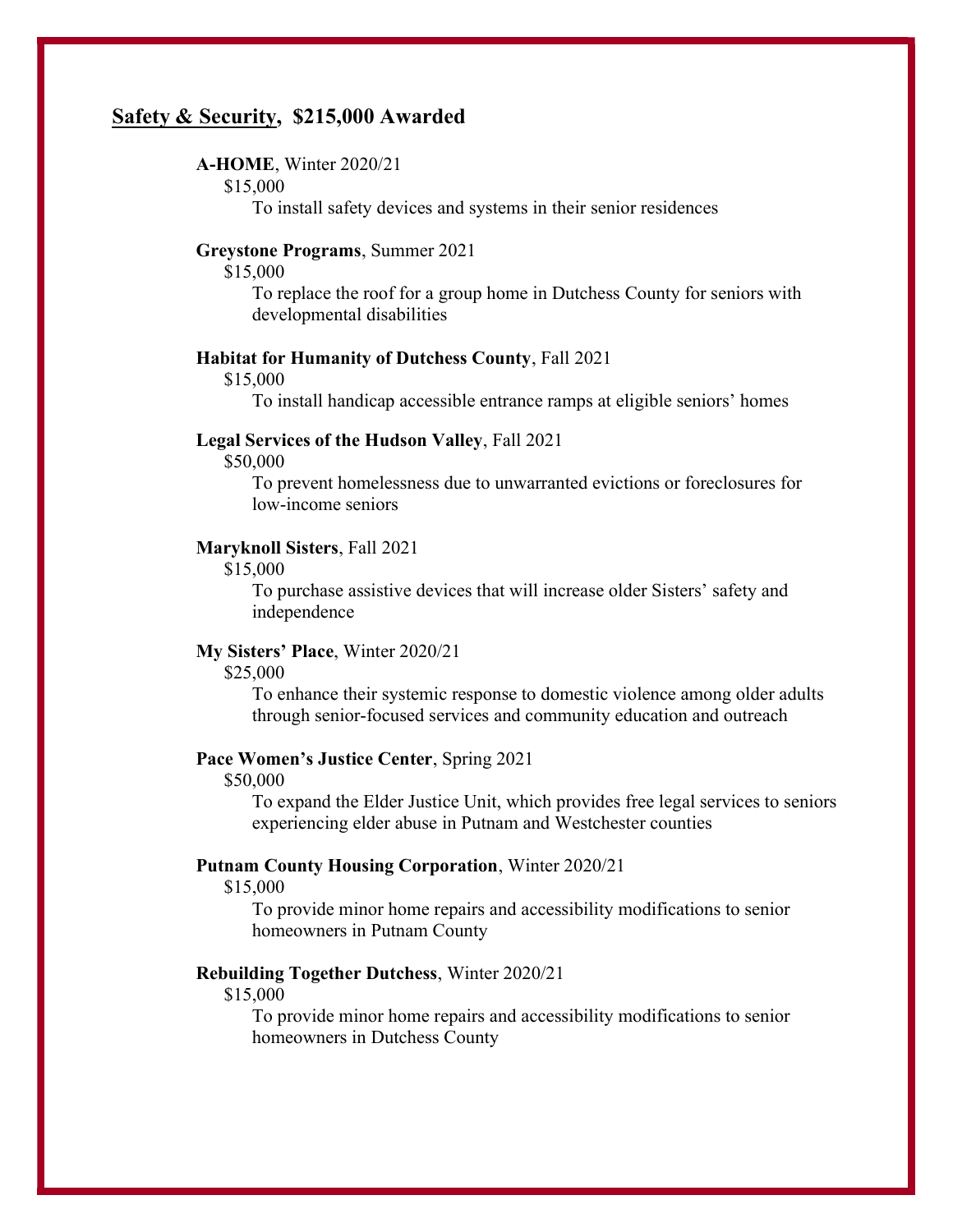## Safety & Security, \$215,000 Awarded

## A-HOME, Winter 2020/21

## \$15,000

To install safety devices and systems in their senior residences

## Greystone Programs, Summer 2021

\$15,000

To replace the roof for a group home in Dutchess County for seniors with developmental disabilities

## Habitat for Humanity of Dutchess County, Fall 2021

\$15,000

To install handicap accessible entrance ramps at eligible seniors' homes

## Legal Services of the Hudson Valley, Fall 2021

\$50,000

To prevent homelessness due to unwarranted evictions or foreclosures for low-income seniors

## Maryknoll Sisters, Fall 2021

\$15,000

To purchase assistive devices that will increase older Sisters' safety and independence

#### My Sisters' Place, Winter 2020/21

\$25,000

To enhance their systemic response to domestic violence among older adults through senior-focused services and community education and outreach

#### Pace Women's Justice Center, Spring 2021

\$50,000

To expand the Elder Justice Unit, which provides free legal services to seniors experiencing elder abuse in Putnam and Westchester counties

## Putnam County Housing Corporation, Winter 2020/21

\$15,000

To provide minor home repairs and accessibility modifications to senior homeowners in Putnam County

## Rebuilding Together Dutchess, Winter 2020/21

\$15,000

To provide minor home repairs and accessibility modifications to senior homeowners in Dutchess County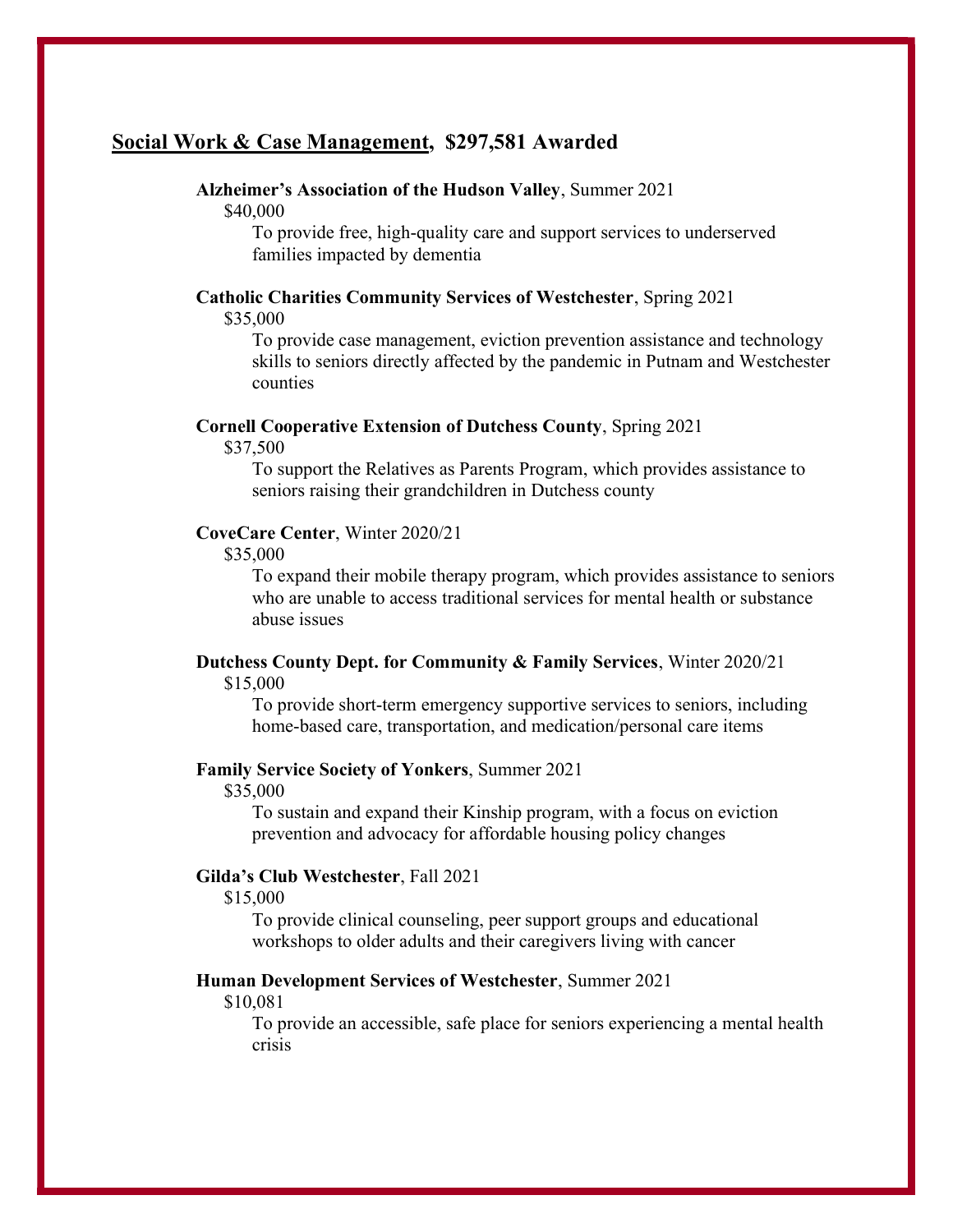## Social Work & Case Management, \$297,581 Awarded

## Alzheimer's Association of the Hudson Valley, Summer 2021

\$40,000

To provide free, high-quality care and support services to underserved families impacted by dementia

#### Catholic Charities Community Services of Westchester, Spring 2021 \$35,000

To provide case management, eviction prevention assistance and technology skills to seniors directly affected by the pandemic in Putnam and Westchester counties

## Cornell Cooperative Extension of Dutchess County, Spring 2021

\$37,500

To support the Relatives as Parents Program, which provides assistance to seniors raising their grandchildren in Dutchess county

## CoveCare Center, Winter 2020/21

\$35,000

To expand their mobile therapy program, which provides assistance to seniors who are unable to access traditional services for mental health or substance abuse issues

## Dutchess County Dept. for Community & Family Services, Winter 2020/21 \$15,000

To provide short-term emergency supportive services to seniors, including home-based care, transportation, and medication/personal care items

## Family Service Society of Yonkers, Summer 2021

\$35,000

To sustain and expand their Kinship program, with a focus on eviction prevention and advocacy for affordable housing policy changes

#### Gilda's Club Westchester, Fall 2021

\$15,000

To provide clinical counseling, peer support groups and educational workshops to older adults and their caregivers living with cancer

## Human Development Services of Westchester, Summer 2021

\$10,081

To provide an accessible, safe place for seniors experiencing a mental health crisis